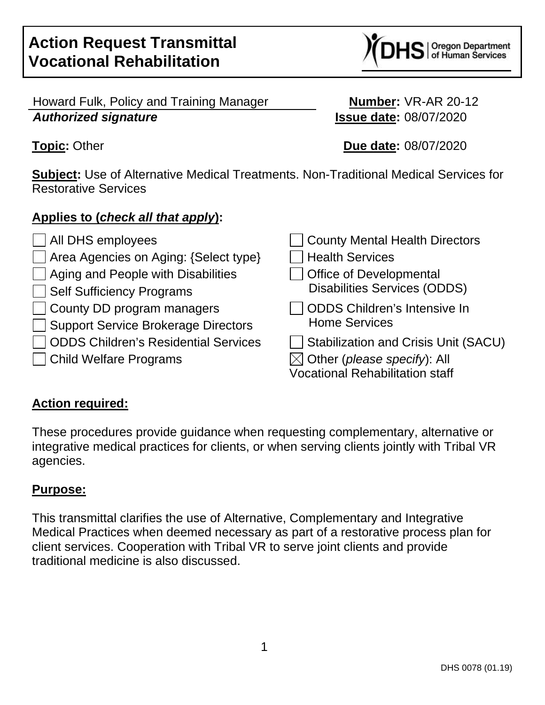$\text{IS}$  oregon Department

Howard Fulk, Policy and Training Manager **Number:** VR-AR 20-12 **Authorized signature Issue date:** 08/07/2020

**Topic:** Other **Due date:** 08/07/2020

**Subject:** Use of Alternative Medical Treatments. Non-Traditional Medical Services for Restorative Services

# **Applies to (check all that apply):**

| $\Box$ All DHS employees                                         | <b>County Mental Health Directors</b>                                                                                            |
|------------------------------------------------------------------|----------------------------------------------------------------------------------------------------------------------------------|
| □ Area Agencies on Aging: {Select type}                          | <b>Health Services</b>                                                                                                           |
| $\Box$ Aging and People with Disabilities                        | <b>Office of Developmental</b>                                                                                                   |
| Self Sufficiency Programs                                        | <b>Disabilities Services (ODDS)</b>                                                                                              |
| County DD program managers                                       | <b>ODDS Children's Intensive In</b>                                                                                              |
| Support Service Brokerage Directors                              | <b>Home Services</b>                                                                                                             |
| ODDS Children's Residential Services<br>□ Child Welfare Programs | <b>Stabilization and Crisis Unit (SACU)</b><br>$\boxtimes$ Other (please specify): All<br><b>Vocational Rehabilitation staff</b> |

# **Action required:**

These procedures provide guidance when requesting complementary, alternative or integrative medical practices for clients, or when serving clients jointly with Tribal VR agencies.

# **Purpose:**

This transmittal clarifies the use of Alternative, Complementary and Integrative Medical Practices when deemed necessary as part of a restorative process plan for client services. Cooperation with Tribal VR to serve joint clients and provide traditional medicine is also discussed.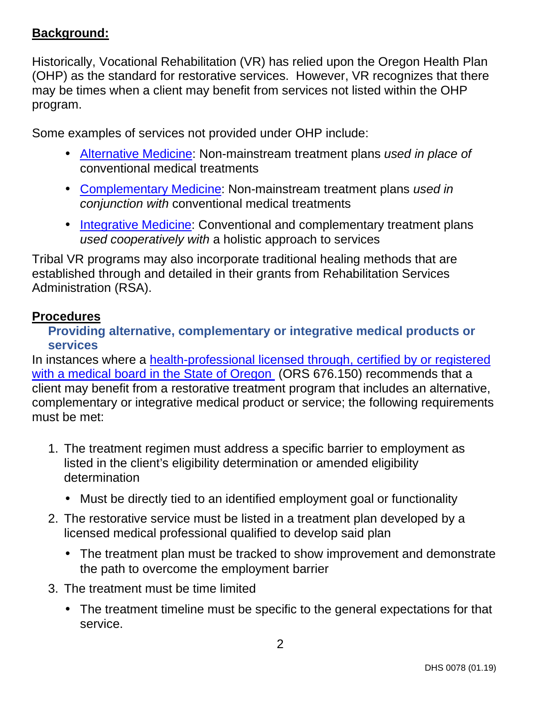# **Background:**

Historically, Vocational Rehabilitation (VR) has relied upon the Oregon Health Plan (OHP) as the standard for restorative services. However, VR recognizes that there may be times when a client may benefit from services not listed within the OHP program.

Some examples of services not provided under OHP include:

- [Alternative Medicine](https://www.nccih.nih.gov/health/complementary-alternative-or-integrative-health-whats-in-a-name): Non-mainstream treatment plans used in place of conventional medical treatments
- [Complementary Medicine:](https://www.nccih.nih.gov/health/complementary-alternative-or-integrative-health-whats-in-a-name) Non-mainstream treatment plans used in conjunction with conventional medical treatments
- [Integrative Medicine](https://www.nccih.nih.gov/health/complementary-alternative-or-integrative-health-whats-in-a-name): Conventional and complementary treatment plans used cooperatively with a holistic approach to services

Tribal VR programs may also incorporate traditional healing methods that are established through and detailed in their grants from Rehabilitation Services Administration (RSA).

#### **Procedures**

#### **Providing alternative, complementary or integrative medical products or services**

[In instances where a health-professional licensed through, certified by or registered](#page-5-0) with a medical board in the State of Oregon (ORS 676.150) recommends that a client may benefit from a restorative treatment program that includes an alternative, complementary or integrative medical product or service; the following requirements must be met:

- 1. The treatment regimen must address a specific barrier to employment as listed in the client's eligibility determination or amended eligibility determination
	- Must be directly tied to an identified employment goal or functionality
- 2. The restorative service must be listed in a treatment plan developed by a licensed medical professional qualified to develop said plan
	- The treatment plan must be tracked to show improvement and demonstrate the path to overcome the employment barrier
- 3. The treatment must be time limited
	- The treatment timeline must be specific to the general expectations for that service.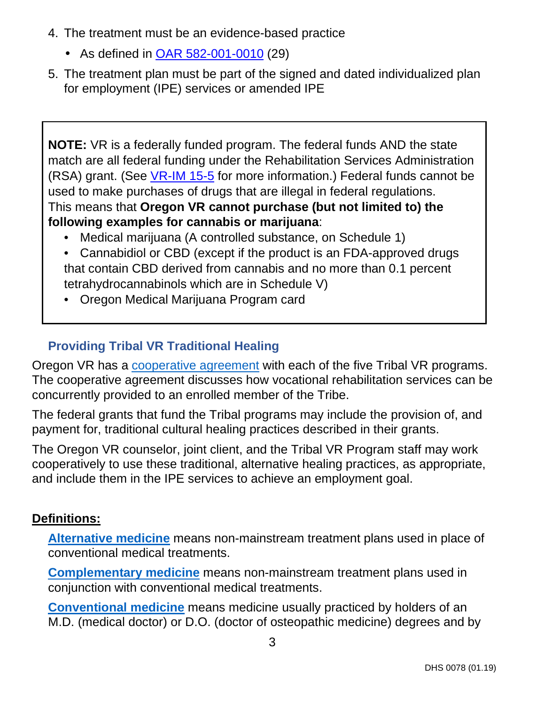- 4. The treatment must be an evidence-based practice
	- As defined in [OAR 582-001-0010](https://secure.sos.state.or.us/oard/viewSingleRule.action?ruleVrsnRsn=263229) (29)
- 5. The treatment plan must be part of the signed and dated individualized plan for employment (IPE) services or amended IPE

**NOTE:** VR is a federally funded program. The federal funds AND the state match are all federal funding under the Rehabilitation Services Administration (RSA) grant. (See [VR-IM 15-5](https://dhsoha.sharepoint.com/teams/Hub-DHS-VR/Shared%20Documents/Policies-Rules-Regulations/Information-Memorandums/VR-IM-15-05-Marijuana-Employment-2015-06-29.pdf?csf=1&e=nmkorM&cid=cf8bceeb-b8c6-4b7c-baca-d89b045eecb1) for more information.) Federal funds cannot be used to make purchases of drugs that are illegal in federal regulations. This means that **Oregon VR cannot purchase (but not limited to) the following examples for cannabis or marijuana**:

- Medical marijuana (A controlled substance, on Schedule 1)
- Cannabidiol or CBD (except if the product is an FDA-approved drugs that contain CBD derived from cannabis and no more than 0.1 percent tetrahydrocannabinols which are in Schedule V)
- Oregon Medical Marijuana Program card

# **Providing Tribal VR Traditional Healing**

Oregon VR has a [cooperative agreement](https://www.oregon.gov/dhs/EMPLOYMENT/VR/Pages/Cooperative-Agreements.aspx) with each of the five Tribal VR programs. The cooperative agreement discusses how vocational rehabilitation services can be concurrently provided to an enrolled member of the Tribe.

The federal grants that fund the Tribal programs may include the provision of, and payment for, traditional cultural healing practices described in their grants.

The Oregon VR counselor, joint client, and the Tribal VR Program staff may work cooperatively to use these traditional, alternative healing practices, as appropriate, and include them in the IPE services to achieve an employment goal.

# **Definitions:**

**[Alternative medicine](https://www.nccih.nih.gov/health/complementary-alternative-or-integrative-health-whats-in-a-name)** means non-mainstream treatment plans used in place of conventional medical treatments.

**[Complementary medicine](https://www.nccih.nih.gov/health/complementary-alternative-or-integrative-health-whats-in-a-name)** means non-mainstream treatment plans used in conjunction with conventional medical treatments.

**[Conventional medicine](https://www.nccih.nih.gov/health/complementary-alternative-or-integrative-health-whats-in-a-name)** means medicine usually practiced by holders of an M.D. (medical doctor) or D.O. (doctor of osteopathic medicine) degrees and by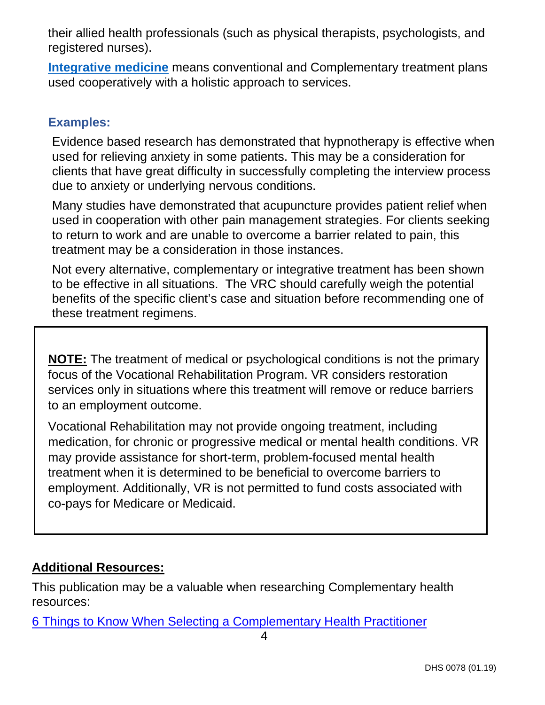their allied health professionals (such as physical therapists, psychologists, and registered nurses).

**[Integrative medicine](https://www.nccih.nih.gov/health/complementary-alternative-or-integrative-health-whats-in-a-name)** means conventional and Complementary treatment plans used cooperatively with a holistic approach to services.

### **Examples:**

Evidence based research has demonstrated that hypnotherapy is effective when used for relieving anxiety in some patients. This may be a consideration for clients that have great difficulty in successfully completing the interview process due to anxiety or underlying nervous conditions.

Many studies have demonstrated that acupuncture provides patient relief when used in cooperation with other pain management strategies. For clients seeking to return to work and are unable to overcome a barrier related to pain, this treatment may be a consideration in those instances.

Not every alternative, complementary or integrative treatment has been shown to be effective in all situations. The VRC should carefully weigh the potential benefits of the specific client's case and situation before recommending one of these treatment regimens.

**NOTE:** The treatment of medical or psychological conditions is not the primary focus of the Vocational Rehabilitation Program. VR considers restoration services only in situations where this treatment will remove or reduce barriers to an employment outcome.

Vocational Rehabilitation may not provide ongoing treatment, including medication, for chronic or progressive medical or mental health conditions. VR may provide assistance for short-term, problem-focused mental health treatment when it is determined to be beneficial to overcome barriers to employment. Additionally, VR is not permitted to fund costs associated with co-pays for Medicare or Medicaid.

# **Additional Resources:**

This publication may be a valuable when researching Complementary health resources:

[6 Things to Know When Selecting a Complementary Health Practitioner](https://www.nccih.nih.gov/health/tips/things-to-know-when-selecting-a-complementary-health-practitioner)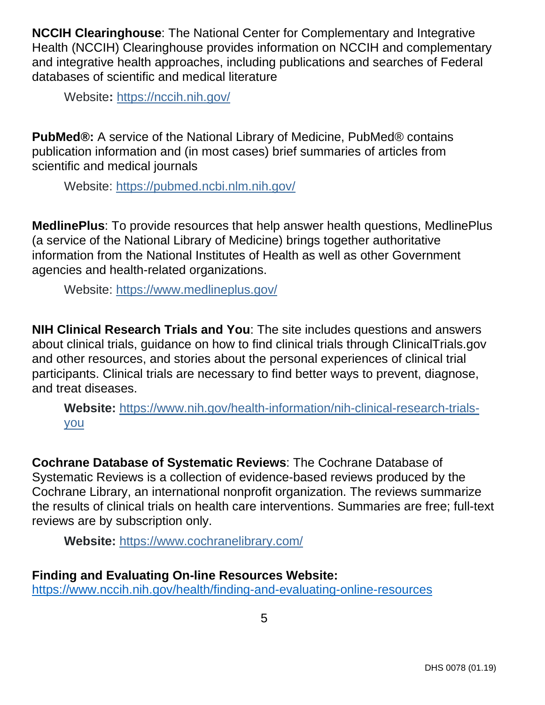**NCCIH Clearinghouse**: The National Center for Complementary and Integrative Health (NCCIH) Clearinghouse provides information on NCCIH and complementary and integrative health approaches, including publications and searches of Federal databases of scientific and medical literature

Website**:** https://nccih.nih.gov/

**PubMed®:** A service of the National Library of Medicine, PubMed® contains publication information and (in most cases) brief summaries of articles from scientific and medical journals

Website: https://pubmed.ncbi.nlm.nih.gov/

**MedlinePlus**: To provide resources that help answer health questions, MedlinePlus (a service of the National Library of Medicine) brings together authoritative information from the National Institutes of Health as well as other Government agencies and health-related organizations.

Website: https://www.medlineplus.gov/

**NIH Clinical Research Trials and You**: The site includes questions and answers about clinical trials, guidance on how to find clinical trials through ClinicalTrials.gov and other resources, and stories about the personal experiences of clinical trial participants. Clinical trials are necessary to find better ways to prevent, diagnose, and treat diseases.

**Website:** https://www.nih.gov/health-information/nih-clinical-research-trialsyou

**Cochrane Database of Systematic Reviews**: The Cochrane Database of Systematic Reviews is a collection of evidence-based reviews produced by the Cochrane Library, an international nonprofit organization. The reviews summarize the results of clinical trials on health care interventions. Summaries are free; full-text reviews are by subscription only.

**Website:** https://www.cochranelibrary.com/

### **Finding and Evaluating On-line Resources Website:**

https://www.nccih.nih.gov/health/finding-and-evaluating-online-resources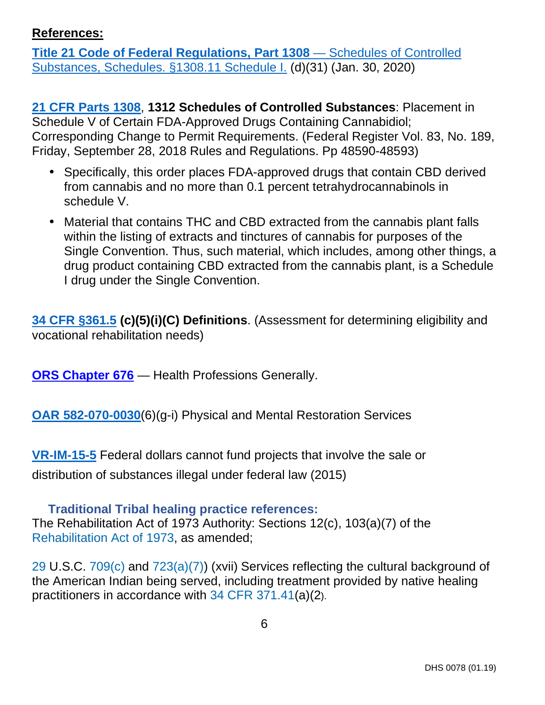### <span id="page-5-0"></span>**References:**

**Title 21 Code of Federal Regulations, Part 1308** — Schedules of Controlled [Substances, Schedules. §1308.11 Schedule I. \(d\)\(31\) \(Jan. 30, 2020\)](https://www.deadiversion.usdoj.gov/21cfr/cfr/1308/1308_11.htm) 

**[21 CFR Parts 1308](https://www.govinfo.gov/content/pkg/FR-2018-09-28/pdf/2018-21121.pdf)**, **1312 Schedules of Controlled Substances**: Placement in Schedule V of Certain FDA-Approved Drugs Containing Cannabidiol; Corresponding Change to Permit Requirements. (Federal Register Vol. 83, No. 189, Friday, September 28, 2018 Rules and Regulations. Pp 48590-48593)

- Specifically, this order places FDA-approved drugs that contain CBD derived from cannabis and no more than 0.1 percent tetrahydrocannabinols in schedule V.
- Material that contains THC and CBD extracted from the cannabis plant falls within the listing of extracts and tinctures of cannabis for purposes of the Single Convention. Thus, such material, which includes, among other things, a drug product containing CBD extracted from the cannabis plant, is a Schedule I drug under the Single Convention.

**[34 CFR §361.5](https://www.ecfr.gov/cgi-bin/text-idx?SID=f1c8d7a71d9ff86bbd47d376f9d1511d&mc=true&node=pt34.2.361&rgn=div5#se34.2.361_15) (c)(5)(i)(C) Definitions**. (Assessment for determining eligibility and vocational rehabilitation needs)

**[ORS Chapter 676](https://www.oregonlegislature.gov/bills_laws/ors/ors676.html)** — Health Professions Generally.

**<OAR 582-070-0030>**(6)(g-i) Physical and Mental Restoration Services

**[VR-IM-15-5](https://dhsoha.sharepoint.com/teams/Hub-DHS-VR/Shared%20Documents/Policies-Rules-Regulations/Information-Memorandums/VR-IM-15-05-Marijuana-Employment-2015-06-29.pdf?csf=1&e=nmkorM&cid=cf8bceeb-b8c6-4b7c-baca-d89b045eecb1)** Federal dollars cannot fund projects that involve the sale or distribution of substances illegal under federal law (2015)

#### **Traditional Tribal healing practice references:**

The Rehabilitation Act of 1973 Authority: Sections 12(c), 103(a)(7) of the [Rehabilitation Act of 1973,](https://urldefense.proofpoint.com/v2/url?u=https-3A__www.law.cornell.edu_topn_rehabilitation-5Fact-5Fof-5F1973&d=DwMFAg&c=7gilq_oJKU2hnacFUWFTuYqjMQ111TRstgx6WoATdXo&r=oaPTaeEA1gK5HYUsRQSKMn0DiHaTGdbnCO1hVcY5pXyFVQOc7r6arDXwdd1iiShZ&m=ptkzByAQgc0viVn8w_n_AiIRKjF1pCvBldGrXkOv7z8&s=pplQWLNKFHYTPEqO8dObWqeQyz8hNS80nanNBMt8IUc&e=) as amended;

[29](https://urldefense.proofpoint.com/v2/url?u=https-3A__www.law.cornell.edu_uscode_text_29&d=DwMFAg&c=7gilq_oJKU2hnacFUWFTuYqjMQ111TRstgx6WoATdXo&r=oaPTaeEA1gK5HYUsRQSKMn0DiHaTGdbnCO1hVcY5pXyFVQOc7r6arDXwdd1iiShZ&m=ptkzByAQgc0viVn8w_n_AiIRKjF1pCvBldGrXkOv7z8&s=QYJAfDdSLel2pYM8VNE3sA0IaTNQw_WdDCnM90EiQhs&e=) U.S.C. [709\(c\)](https://urldefense.proofpoint.com/v2/url?u=https-3A__www.law.cornell.edu_uscode_text_29_709-23c&d=DwMFAg&c=7gilq_oJKU2hnacFUWFTuYqjMQ111TRstgx6WoATdXo&r=oaPTaeEA1gK5HYUsRQSKMn0DiHaTGdbnCO1hVcY5pXyFVQOc7r6arDXwdd1iiShZ&m=ptkzByAQgc0viVn8w_n_AiIRKjF1pCvBldGrXkOv7z8&s=8ym__o5JGGwepkDiDdaEVeKYw90PyuYJZmvYS4KON1g&e=) and [723\(a\)\(7\)\)](https://urldefense.proofpoint.com/v2/url?u=https-3A__www.law.cornell.edu_uscode_text_29_709-23c&d=DwMFAg&c=7gilq_oJKU2hnacFUWFTuYqjMQ111TRstgx6WoATdXo&r=oaPTaeEA1gK5HYUsRQSKMn0DiHaTGdbnCO1hVcY5pXyFVQOc7r6arDXwdd1iiShZ&m=ptkzByAQgc0viVn8w_n_AiIRKjF1pCvBldGrXkO) (xvii) Services reflecting the cultural background of the American Indian being served, including treatment provided by native healing practitioners in accordance with [34 CFR 371.41](https://urldefense.proofpoint.com/v2/url?u=https-3A__www.law.cornell.edu_cfr_text_34_371.41&d=DwMFAg&c=7gilq_oJKU2hnacFUWFTuYqjMQ111TRstgx6WoATdXo&r=oaPTaeEA1gK5HYUsRQSKMn0DiHaTGdbnCO1hVcY5pXyFVQOc7r6arDXwdd1iiShZ&m=ptkzByAQgc0viVn8w_n_AiIRKjF1pCvBldGrXkOv7z8&s=o13N4B0URUig3BCXZZDzr_ysKgV1_KLNPZEhxyuLC7o&e=)(a)(2).